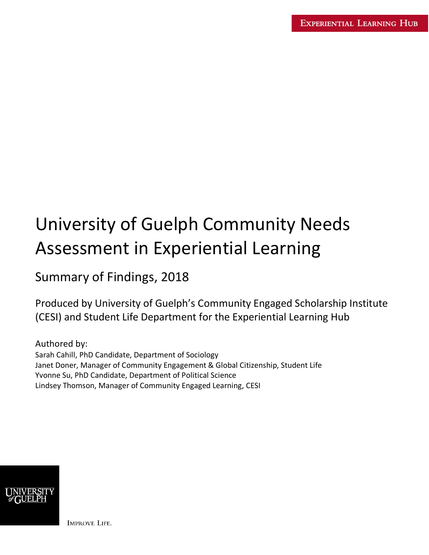# University of Guelph Community Needs Assessment in Experiential Learning

Summary of Findings, 2018

Produced by University of Guelph's Community Engaged Scholarship Institute (CESI) and Student Life Department for the Experiential Learning Hub

Authored by: Sarah Cahill, PhD Candidate, Department of Sociology Janet Doner, Manager of Community Engagement & Global Citizenship, Student Life Yvonne Su, PhD Candidate, Department of Political Science Lindsey Thomson, Manager of Community Engaged Learning, CESI



**IMPROVE LIFE.**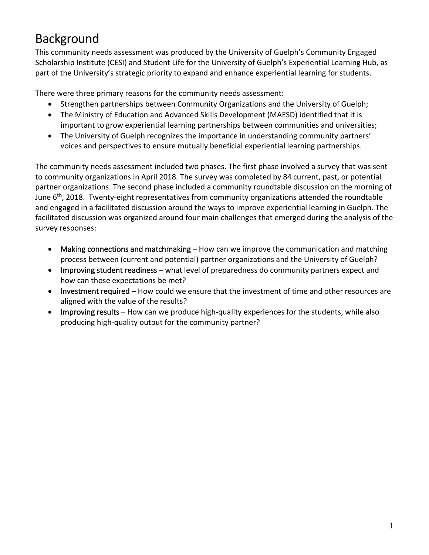# Background

This community needs assessment was produced by the University of Guelph's Community Engaged Scholarship Institute (CESI) and Student Life for the University of Guelph's Experiential Learning Hub, as part of the University's strategic priority to expand and enhance experiential learning for students.

There were three primary reasons for the community needs assessment:

- Strengthen partnerships between Community Organizations and the University of Guelph;
- The Ministry of Education and Advanced Skills Development (MAESD) identified that it is important to grow experiential learning partnerships between communities and universities;
- The University of Guelph recognizes the importance in understanding community partners' voices and perspectives to ensure mutually beneficial experiential learning partnerships.

The community needs assessment included two phases. The first phase involved a survey that was sent to community organizations in April 2018. The survey was completed by 84 current, past, or potential partner organizations. The second phase included a community roundtable discussion on the morning of June  $6<sup>th</sup>$ , 2018. Twenty-eight representatives from community organizations attended the roundtable and engaged in a facilitated discussion around the ways to improve experiential learning in Guelph. The facilitated discussion was organized around four main challenges that emerged during the analysis of the survey responses:

- Making connections and matchmaking How can we improve the communication and matching process between (current and potential) partner organizations and the University of Guelph?
- Improving student readiness what level of preparedness do community partners expect and how can those expectations be met?
- Investment required How could we ensure that the investment of time and other resources are aligned with the value of the results?
- Improving results How can we produce high-quality experiences for the students, while also producing high-quality output for the community partner?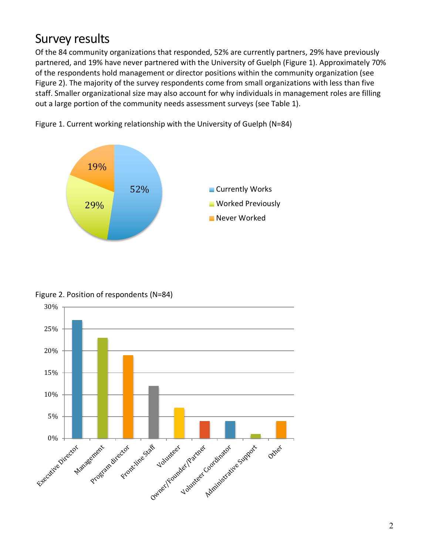### Survey results

Of the 84 community organizations that responded, 52% are currently partners, 29% have previously partnered, and 19% have never partnered with the University of Guelph (Figure 1). Approximately 70% of the respondents hold management or director positions within the community organization (see Figure 2). The majority of the survey respondents come from small organizations with less than five staff. Smaller organizational size may also account for why individuals in management roles are filling out a large portion of the community needs assessment surveys (see Table 1).



Figure 1. Current working relationship with the University of Guelph (N=84)

Figure 2. Position of respondents (N=84)

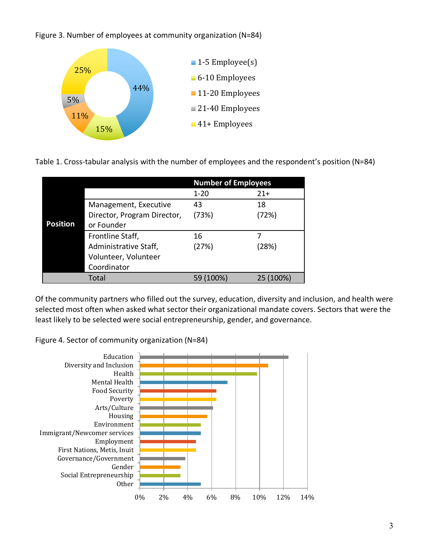Figure 3. Number of employees at community organization (N=84)



Table 1. Cross-tabular analysis with the number of employees and the respondent's position (N=84)

|                 |                             | <b>Number of Employees</b> |                  |
|-----------------|-----------------------------|----------------------------|------------------|
|                 |                             | $1 - 20$                   | $21+$            |
|                 | Management, Executive       | 43                         | 18               |
|                 | Director, Program Director, | (73%)                      | (72%)            |
| <b>Position</b> | or Founder                  |                            |                  |
|                 | Frontline Staff,            | 16                         |                  |
|                 | Administrative Staff,       | (27%)                      | (28%)            |
|                 | Volunteer, Volunteer        |                            |                  |
|                 | Coordinator                 |                            |                  |
|                 | Total                       | (100%)                     | $(100\%)$<br>25. |

Of the community partners who filled out the survey, education, diversity and inclusion, and health were selected most often when asked what sector their organizational mandate covers. Sectors that were the least likely to be selected were social entrepreneurship, gender, and governance.

Figure 4. Sector of community organization (N=84)

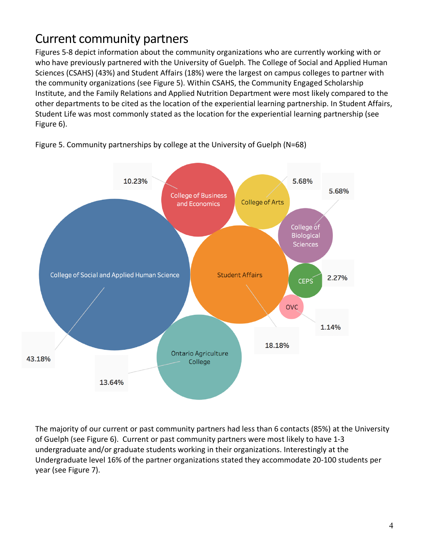# Current community partners

Figures 5-8 depict information about the community organizations who are currently working with or who have previously partnered with the University of Guelph. The College of Social and Applied Human Sciences (CSAHS) (43%) and Student Affairs (18%) were the largest on campus colleges to partner with the community organizations (see Figure 5). Within CSAHS, the Community Engaged Scholarship Institute, and the Family Relations and Applied Nutrition Department were most likely compared to the other departments to be cited as the location of the experiential learning partnership. In Student Affairs, Student Life was most commonly stated as the location for the experiential learning partnership (see Figure 6).



Figure 5. Community partnerships by college at the University of Guelph (N=68)

The majority of our current or past community partners had less than 6 contacts (85%) at the University of Guelph (see Figure 6). Current or past community partners were most likely to have 1-3 undergraduate and/or graduate students working in their organizations. Interestingly at the Undergraduate level 16% of the partner organizations stated they accommodate 20-100 students per year (see Figure 7).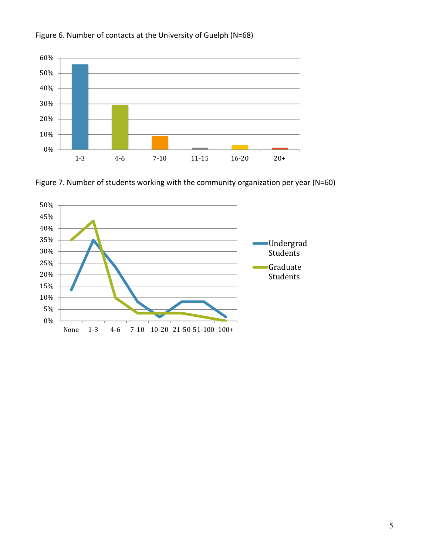





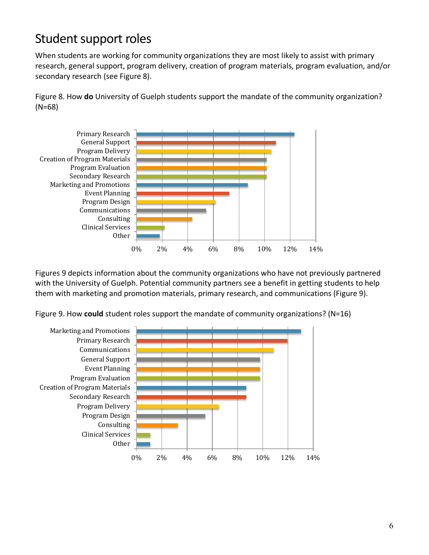## Student support roles

When students are working for community organizations they are most likely to assist with primary research, general support, program delivery, creation of program materials, program evaluation, and/or secondary research (see Figure 8).

Figure 8. How **do** University of Guelph students support the mandate of the community organization? (N=68)



Figures 9 depicts information about the community organizations who have not previously partnered with the University of Guelph. Potential community partners see a benefit in getting students to help them with marketing and promotion materials, primary research, and communications (Figure 9).

Figure 9. How **could** student roles support the mandate of community organizations? (N=16)

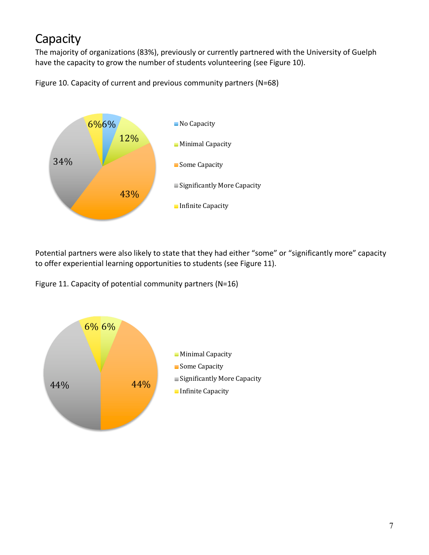# **Capacity**

The majority of organizations (83%), previously or currently partnered with the University of Guelph have the capacity to grow the number of students volunteering (see Figure 10).





Potential partners were also likely to state that they had either "some" or "significantly more" capacity to offer experiential learning opportunities to students (see Figure 11).

Figure 11. Capacity of potential community partners (N=16)

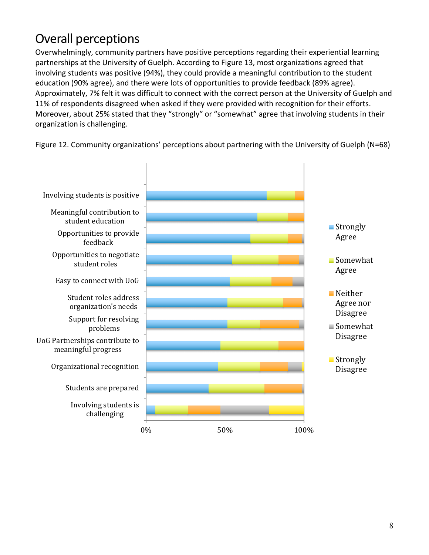# Overall perceptions

Overwhelmingly, community partners have positive perceptions regarding their experiential learning partnerships at the University of Guelph. According to Figure 13, most organizations agreed that involving students was positive (94%), they could provide a meaningful contribution to the student education (90% agree), and there were lots of opportunities to provide feedback (89% agree). Approximately, 7% felt it was difficult to connect with the correct person at the University of Guelph and 11% of respondents disagreed when asked if they were provided with recognition for their efforts. Moreover, about 25% stated that they "strongly" or "somewhat" agree that involving students in their organization is challenging.

Figure 12. Community organizations' perceptions about partnering with the University of Guelph (N=68)

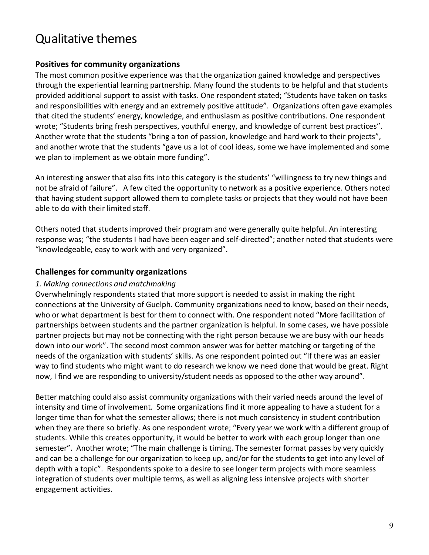### Qualitative themes

#### **Positives for community organizations**

The most common positive experience was that the organization gained knowledge and perspectives through the experiential learning partnership. Many found the students to be helpful and that students provided additional support to assist with tasks. One respondent stated; "Students have taken on tasks and responsibilities with energy and an extremely positive attitude". Organizations often gave examples that cited the students' energy, knowledge, and enthusiasm as positive contributions. One respondent wrote; "Students bring fresh perspectives, youthful energy, and knowledge of current best practices". Another wrote that the students "bring a ton of passion, knowledge and hard work to their projects", and another wrote that the students "gave us a lot of cool ideas, some we have implemented and some we plan to implement as we obtain more funding".

An interesting answer that also fits into this category is the students' "willingness to try new things and not be afraid of failure". A few cited the opportunity to network as a positive experience. Others noted that having student support allowed them to complete tasks or projects that they would not have been able to do with their limited staff.

Others noted that students improved their program and were generally quite helpful. An interesting response was; "the students I had have been eager and self-directed"; another noted that students were "knowledgeable, easy to work with and very organized".

#### **Challenges for community organizations**

#### *1. Making connections and matchmaking*

Overwhelmingly respondents stated that more support is needed to assist in making the right connections at the University of Guelph. Community organizations need to know, based on their needs, who or what department is best for them to connect with. One respondent noted "More facilitation of partnerships between students and the partner organization is helpful. In some cases, we have possible partner projects but may not be connecting with the right person because we are busy with our heads down into our work". The second most common answer was for better matching or targeting of the needs of the organization with students' skills. As one respondent pointed out "If there was an easier way to find students who might want to do research we know we need done that would be great. Right now, I find we are responding to university/student needs as opposed to the other way around".

Better matching could also assist community organizations with their varied needs around the level of intensity and time of involvement. Some organizations find it more appealing to have a student for a longer time than for what the semester allows; there is not much consistency in student contribution when they are there so briefly. As one respondent wrote; "Every year we work with a different group of students. While this creates opportunity, it would be better to work with each group longer than one semester". Another wrote; "The main challenge is timing. The semester format passes by very quickly and can be a challenge for our organization to keep up, and/or for the students to get into any level of depth with a topic". Respondents spoke to a desire to see longer term projects with more seamless integration of students over multiple terms, as well as aligning less intensive projects with shorter engagement activities.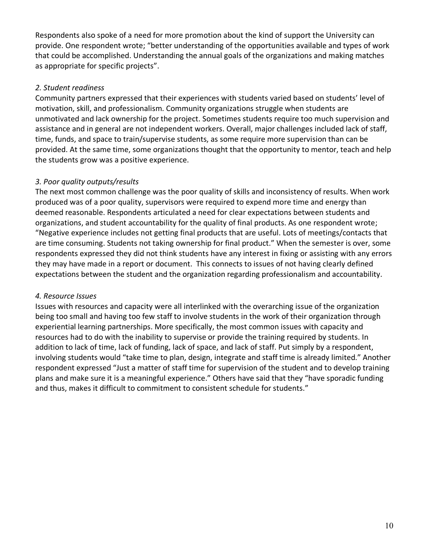Respondents also spoke of a need for more promotion about the kind of support the University can provide. One respondent wrote; "better understanding of the opportunities available and types of work that could be accomplished. Understanding the annual goals of the organizations and making matches as appropriate for specific projects".

#### *2. Student readiness*

Community partners expressed that their experiences with students varied based on students' level of motivation, skill, and professionalism. Community organizations struggle when students are unmotivated and lack ownership for the project. Sometimes students require too much supervision and assistance and in general are not independent workers. Overall, major challenges included lack of staff, time, funds, and space to train/supervise students, as some require more supervision than can be provided. At the same time, some organizations thought that the opportunity to mentor, teach and help the students grow was a positive experience.

#### *3. Poor quality outputs/results*

The next most common challenge was the poor quality of skills and inconsistency of results. When work produced was of a poor quality, supervisors were required to expend more time and energy than deemed reasonable. Respondents articulated a need for clear expectations between students and organizations, and student accountability for the quality of final products. As one respondent wrote; "Negative experience includes not getting final products that are useful. Lots of meetings/contacts that are time consuming. Students not taking ownership for final product." When the semester is over, some respondents expressed they did not think students have any interest in fixing or assisting with any errors they may have made in a report or document. This connects to issues of not having clearly defined expectations between the student and the organization regarding professionalism and accountability.

#### *4. Resource Issues*

Issues with resources and capacity were all interlinked with the overarching issue of the organization being too small and having too few staff to involve students in the work of their organization through experiential learning partnerships. More specifically, the most common issues with capacity and resources had to do with the inability to supervise or provide the training required by students. In addition to lack of time, lack of funding, lack of space, and lack of staff. Put simply by a respondent, involving students would "take time to plan, design, integrate and staff time is already limited." Another respondent expressed "Just a matter of staff time for supervision of the student and to develop training plans and make sure it is a meaningful experience." Others have said that they "have sporadic funding and thus, makes it difficult to commitment to consistent schedule for students."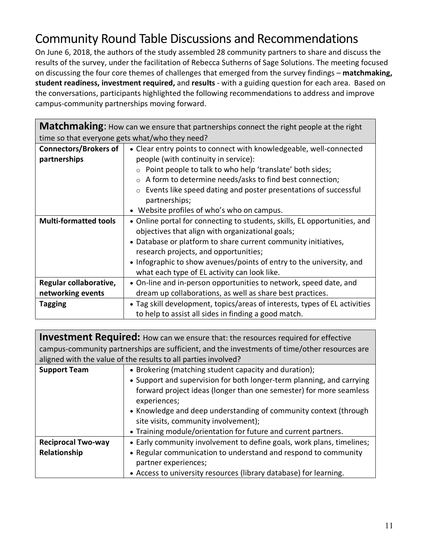# Community Round Table Discussions and Recommendations

On June 6, 2018, the authors of the study assembled 28 community partners to share and discuss the results of the survey, under the facilitation of Rebecca Sutherns of Sage Solutions. The meeting focused on discussing the four core themes of challenges that emerged from the survey findings – **matchmaking, student readiness, investment required,** and **results** - with a guiding question for each area. Based on the conversations, participants highlighted the following recommendations to address and improve campus-community partnerships moving forward.

| <b>Matchmaking:</b> How can we ensure that partnerships connect the right people at the right |                                                                            |  |  |  |
|-----------------------------------------------------------------------------------------------|----------------------------------------------------------------------------|--|--|--|
| time so that everyone gets what/who they need?                                                |                                                                            |  |  |  |
| <b>Connectors/Brokers of</b>                                                                  | • Clear entry points to connect with knowledgeable, well-connected         |  |  |  |
| partnerships                                                                                  | people (with continuity in service):                                       |  |  |  |
|                                                                                               | Point people to talk to who help 'translate' both sides;                   |  |  |  |
|                                                                                               | A form to determine needs/asks to find best connection;                    |  |  |  |
|                                                                                               | Events like speed dating and poster presentations of successful<br>$\circ$ |  |  |  |
|                                                                                               | partnerships;                                                              |  |  |  |
|                                                                                               | • Website profiles of who's who on campus.                                 |  |  |  |
| <b>Multi-formatted tools</b>                                                                  | • Online portal for connecting to students, skills, EL opportunities, and  |  |  |  |
|                                                                                               | objectives that align with organizational goals;                           |  |  |  |
|                                                                                               | • Database or platform to share current community initiatives,             |  |  |  |
|                                                                                               | research projects, and opportunities;                                      |  |  |  |
|                                                                                               | • Infographic to show avenues/points of entry to the university, and       |  |  |  |
|                                                                                               | what each type of EL activity can look like.                               |  |  |  |
| Regular collaborative,                                                                        | • On-line and in-person opportunities to network, speed date, and          |  |  |  |
| networking events                                                                             | dream up collaborations, as well as share best practices.                  |  |  |  |
| <b>Tagging</b>                                                                                | • Tag skill development, topics/areas of interests, types of EL activities |  |  |  |
|                                                                                               | to help to assist all sides in finding a good match.                       |  |  |  |

|                                                                                               | <b>Investment Required:</b> How can we ensure that: the resources required for effective |  |
|-----------------------------------------------------------------------------------------------|------------------------------------------------------------------------------------------|--|
| campus-community partnerships are sufficient, and the investments of time/other resources are |                                                                                          |  |
| aligned with the value of the results to all parties involved?                                |                                                                                          |  |
| <b>Support Team</b>                                                                           | • Brokering (matching student capacity and duration);                                    |  |
|                                                                                               | • Support and supervision for both longer-term planning, and carrying                    |  |
|                                                                                               | forward project ideas (longer than one semester) for more seamless                       |  |
|                                                                                               | experiences;                                                                             |  |
|                                                                                               | • Knowledge and deep understanding of community context (through                         |  |
|                                                                                               | site visits, community involvement);                                                     |  |
|                                                                                               | • Training module/orientation for future and current partners.                           |  |
| <b>Reciprocal Two-way</b>                                                                     | • Early community involvement to define goals, work plans, timelines;                    |  |
| Relationship                                                                                  | • Regular communication to understand and respond to community                           |  |
|                                                                                               | partner experiences;                                                                     |  |
|                                                                                               | • Access to university resources (library database) for learning.                        |  |